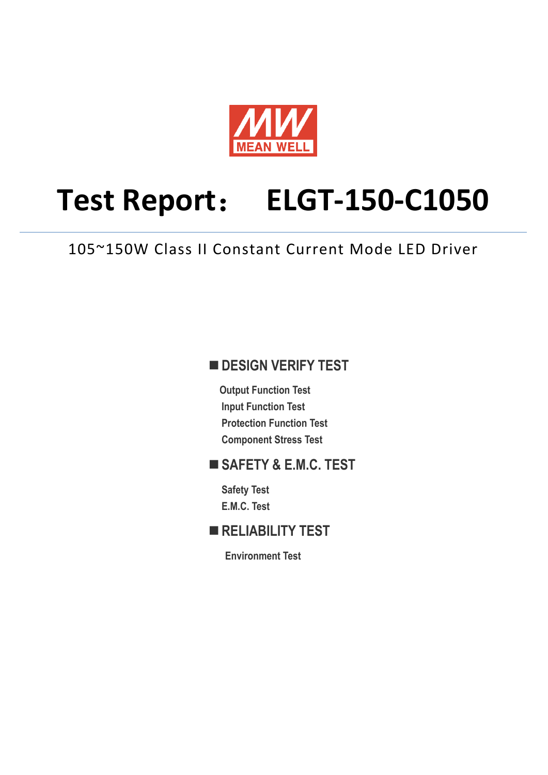

# **Test Report**: **ELGT-150-C1050**

105~150W Class II Constant Current Mode LED Driver

### **DESIGN VERIFY TEST**

**Output Function Test Input Function Test Protection Function Test Component Stress Test** 

### **SAFETY & E.M.C. TEST**

**Safety Test E.M.C. Test** 

### **RELIABILITY TEST**

**Environment Test**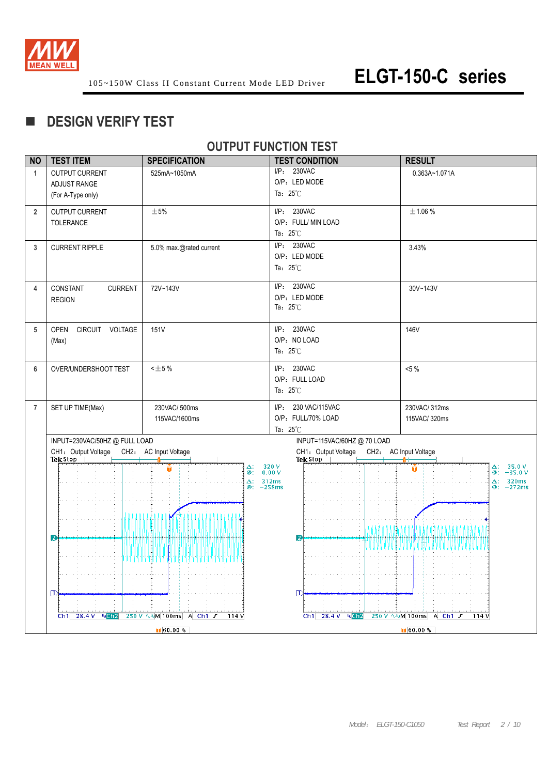

### **DESIGN VERIFY TEST**

#### **OUTPUT FUNCTION TEST**

| 230VAC<br>$I/P$ :<br><b>OUTPUT CURRENT</b><br>$\mathbf{1}$<br>525mA~1050mA<br>0.363A~1.071A<br>O/P: LED MODE<br><b>ADJUST RANGE</b><br>Ta: $25^{\circ}$ C<br>(For A-Type only)<br>I/P: 230VAC<br>OUTPUT CURRENT<br>±5%<br>±1.06%<br>$\overline{2}$<br>O/P: FULL/ MIN LOAD<br><b>TOLERANCE</b><br>Ta: $25^{\circ}$ C<br>I/P: 230VAC<br>5.0% max.@rated current<br>3.43%<br>3<br><b>CURRENT RIPPLE</b><br>O/P: LED MODE<br>Ta: $25^{\circ}$ C<br>I/P: 230VAC<br>CONSTANT<br><b>CURRENT</b><br>72V~143V<br>30V~143V<br>4<br>O/P: LED MODE<br><b>REGION</b><br>Ta: $25^{\circ}$ C<br>I/P: 230VAC<br>OPEN CIRCUIT VOLTAGE<br>151V<br>146V<br>5<br>O/P: NO LOAD<br>(Max)<br>Ta: $25^{\circ}$ C<br>$<\pm 5\%$<br>I/P: 230VAC<br>$<5\%$<br>6<br>OVER/UNDERSHOOT TEST<br>O/P: FULL LOAD<br>Ta: $25^{\circ}$ C<br>I/P: 230 VAC/115VAC<br>$\overline{7}$<br>SET UP TIME(Max)<br>230VAC/500ms<br>230VAC/312ms<br>O/P: FULL/70% LOAD<br>115VAC/1600ms<br>115VAC/320ms<br>Ta: $25^{\circ}$ C<br>INPUT=230VAC/50HZ @ FULL LOAD<br>INPUT=115VAC/60HZ @ 70 LOAD<br>CH1: Output Voltage CH2: AC Input Voltage<br>CH1: Output Voltage<br>CH2: AC Input Voltage<br>Tek Stop<br>Tek Stop<br>$\begin{array}{c} 320\text{ V}\\ 0.00\text{ V} \end{array}$<br>Δ: | <b>NO</b> | <b>TEST ITEM</b><br><b>SPECIFICATION</b> |    | <b>TEST CONDITION</b> | <b>RESULT</b>                   |
|------------------------------------------------------------------------------------------------------------------------------------------------------------------------------------------------------------------------------------------------------------------------------------------------------------------------------------------------------------------------------------------------------------------------------------------------------------------------------------------------------------------------------------------------------------------------------------------------------------------------------------------------------------------------------------------------------------------------------------------------------------------------------------------------------------------------------------------------------------------------------------------------------------------------------------------------------------------------------------------------------------------------------------------------------------------------------------------------------------------------------------------------------------------------------------------------------------------------------------------|-----------|------------------------------------------|----|-----------------------|---------------------------------|
|                                                                                                                                                                                                                                                                                                                                                                                                                                                                                                                                                                                                                                                                                                                                                                                                                                                                                                                                                                                                                                                                                                                                                                                                                                          |           |                                          |    |                       |                                 |
|                                                                                                                                                                                                                                                                                                                                                                                                                                                                                                                                                                                                                                                                                                                                                                                                                                                                                                                                                                                                                                                                                                                                                                                                                                          |           |                                          |    |                       |                                 |
|                                                                                                                                                                                                                                                                                                                                                                                                                                                                                                                                                                                                                                                                                                                                                                                                                                                                                                                                                                                                                                                                                                                                                                                                                                          |           |                                          |    |                       |                                 |
|                                                                                                                                                                                                                                                                                                                                                                                                                                                                                                                                                                                                                                                                                                                                                                                                                                                                                                                                                                                                                                                                                                                                                                                                                                          |           |                                          |    |                       |                                 |
|                                                                                                                                                                                                                                                                                                                                                                                                                                                                                                                                                                                                                                                                                                                                                                                                                                                                                                                                                                                                                                                                                                                                                                                                                                          |           |                                          |    |                       |                                 |
|                                                                                                                                                                                                                                                                                                                                                                                                                                                                                                                                                                                                                                                                                                                                                                                                                                                                                                                                                                                                                                                                                                                                                                                                                                          |           |                                          |    |                       |                                 |
|                                                                                                                                                                                                                                                                                                                                                                                                                                                                                                                                                                                                                                                                                                                                                                                                                                                                                                                                                                                                                                                                                                                                                                                                                                          |           |                                          |    |                       |                                 |
|                                                                                                                                                                                                                                                                                                                                                                                                                                                                                                                                                                                                                                                                                                                                                                                                                                                                                                                                                                                                                                                                                                                                                                                                                                          |           |                                          |    |                       |                                 |
|                                                                                                                                                                                                                                                                                                                                                                                                                                                                                                                                                                                                                                                                                                                                                                                                                                                                                                                                                                                                                                                                                                                                                                                                                                          |           |                                          |    |                       |                                 |
|                                                                                                                                                                                                                                                                                                                                                                                                                                                                                                                                                                                                                                                                                                                                                                                                                                                                                                                                                                                                                                                                                                                                                                                                                                          |           |                                          |    |                       |                                 |
|                                                                                                                                                                                                                                                                                                                                                                                                                                                                                                                                                                                                                                                                                                                                                                                                                                                                                                                                                                                                                                                                                                                                                                                                                                          |           |                                          |    |                       |                                 |
|                                                                                                                                                                                                                                                                                                                                                                                                                                                                                                                                                                                                                                                                                                                                                                                                                                                                                                                                                                                                                                                                                                                                                                                                                                          |           |                                          |    |                       |                                 |
|                                                                                                                                                                                                                                                                                                                                                                                                                                                                                                                                                                                                                                                                                                                                                                                                                                                                                                                                                                                                                                                                                                                                                                                                                                          |           |                                          |    |                       |                                 |
|                                                                                                                                                                                                                                                                                                                                                                                                                                                                                                                                                                                                                                                                                                                                                                                                                                                                                                                                                                                                                                                                                                                                                                                                                                          |           |                                          |    |                       |                                 |
|                                                                                                                                                                                                                                                                                                                                                                                                                                                                                                                                                                                                                                                                                                                                                                                                                                                                                                                                                                                                                                                                                                                                                                                                                                          |           |                                          |    |                       |                                 |
|                                                                                                                                                                                                                                                                                                                                                                                                                                                                                                                                                                                                                                                                                                                                                                                                                                                                                                                                                                                                                                                                                                                                                                                                                                          |           |                                          |    |                       |                                 |
|                                                                                                                                                                                                                                                                                                                                                                                                                                                                                                                                                                                                                                                                                                                                                                                                                                                                                                                                                                                                                                                                                                                                                                                                                                          |           |                                          |    |                       |                                 |
|                                                                                                                                                                                                                                                                                                                                                                                                                                                                                                                                                                                                                                                                                                                                                                                                                                                                                                                                                                                                                                                                                                                                                                                                                                          |           |                                          |    |                       |                                 |
|                                                                                                                                                                                                                                                                                                                                                                                                                                                                                                                                                                                                                                                                                                                                                                                                                                                                                                                                                                                                                                                                                                                                                                                                                                          |           |                                          |    |                       |                                 |
|                                                                                                                                                                                                                                                                                                                                                                                                                                                                                                                                                                                                                                                                                                                                                                                                                                                                                                                                                                                                                                                                                                                                                                                                                                          |           |                                          |    |                       |                                 |
|                                                                                                                                                                                                                                                                                                                                                                                                                                                                                                                                                                                                                                                                                                                                                                                                                                                                                                                                                                                                                                                                                                                                                                                                                                          |           |                                          |    |                       |                                 |
|                                                                                                                                                                                                                                                                                                                                                                                                                                                                                                                                                                                                                                                                                                                                                                                                                                                                                                                                                                                                                                                                                                                                                                                                                                          |           |                                          |    |                       |                                 |
|                                                                                                                                                                                                                                                                                                                                                                                                                                                                                                                                                                                                                                                                                                                                                                                                                                                                                                                                                                                                                                                                                                                                                                                                                                          |           |                                          |    |                       |                                 |
|                                                                                                                                                                                                                                                                                                                                                                                                                                                                                                                                                                                                                                                                                                                                                                                                                                                                                                                                                                                                                                                                                                                                                                                                                                          |           |                                          |    |                       |                                 |
|                                                                                                                                                                                                                                                                                                                                                                                                                                                                                                                                                                                                                                                                                                                                                                                                                                                                                                                                                                                                                                                                                                                                                                                                                                          |           |                                          |    |                       |                                 |
|                                                                                                                                                                                                                                                                                                                                                                                                                                                                                                                                                                                                                                                                                                                                                                                                                                                                                                                                                                                                                                                                                                                                                                                                                                          |           |                                          | @; |                       | $\Delta$ : 35.0 V<br>@: -35.0 V |
| 312ms<br>Δ:<br>$@: -258ms$                                                                                                                                                                                                                                                                                                                                                                                                                                                                                                                                                                                                                                                                                                                                                                                                                                                                                                                                                                                                                                                                                                                                                                                                               |           |                                          |    |                       | $\Delta$ : 320ms<br>$@: -272ms$ |
|                                                                                                                                                                                                                                                                                                                                                                                                                                                                                                                                                                                                                                                                                                                                                                                                                                                                                                                                                                                                                                                                                                                                                                                                                                          |           |                                          |    |                       |                                 |
|                                                                                                                                                                                                                                                                                                                                                                                                                                                                                                                                                                                                                                                                                                                                                                                                                                                                                                                                                                                                                                                                                                                                                                                                                                          |           |                                          |    |                       |                                 |
|                                                                                                                                                                                                                                                                                                                                                                                                                                                                                                                                                                                                                                                                                                                                                                                                                                                                                                                                                                                                                                                                                                                                                                                                                                          |           |                                          |    |                       |                                 |
|                                                                                                                                                                                                                                                                                                                                                                                                                                                                                                                                                                                                                                                                                                                                                                                                                                                                                                                                                                                                                                                                                                                                                                                                                                          |           |                                          |    |                       |                                 |
| 2<br>2                                                                                                                                                                                                                                                                                                                                                                                                                                                                                                                                                                                                                                                                                                                                                                                                                                                                                                                                                                                                                                                                                                                                                                                                                                   |           |                                          |    |                       |                                 |
| KA KA KA KA <del>TI</del> AA KABA KA KA KA KA KA KA KA KA KA                                                                                                                                                                                                                                                                                                                                                                                                                                                                                                                                                                                                                                                                                                                                                                                                                                                                                                                                                                                                                                                                                                                                                                             |           |                                          |    |                       |                                 |
|                                                                                                                                                                                                                                                                                                                                                                                                                                                                                                                                                                                                                                                                                                                                                                                                                                                                                                                                                                                                                                                                                                                                                                                                                                          |           |                                          |    |                       |                                 |
|                                                                                                                                                                                                                                                                                                                                                                                                                                                                                                                                                                                                                                                                                                                                                                                                                                                                                                                                                                                                                                                                                                                                                                                                                                          |           |                                          |    |                       |                                 |
| $\mathsf D$<br>$ 1\rangle$                                                                                                                                                                                                                                                                                                                                                                                                                                                                                                                                                                                                                                                                                                                                                                                                                                                                                                                                                                                                                                                                                                                                                                                                               |           |                                          |    |                       |                                 |
|                                                                                                                                                                                                                                                                                                                                                                                                                                                                                                                                                                                                                                                                                                                                                                                                                                                                                                                                                                                                                                                                                                                                                                                                                                          |           |                                          |    |                       |                                 |
| Ch1 28.4 V $N$ Ch2 250 V $N$ $N$ 100ms A Ch1 $J$<br>Ch1 28.4 V $N$ Ch2 250 V $N$ <sub>M</sub> M 100ms A Ch1 J<br>- 114 V<br>114 V                                                                                                                                                                                                                                                                                                                                                                                                                                                                                                                                                                                                                                                                                                                                                                                                                                                                                                                                                                                                                                                                                                        |           |                                          |    |                       |                                 |
| $\sqrt{60.00\%}$<br>$\sqrt{60.00 \%}$                                                                                                                                                                                                                                                                                                                                                                                                                                                                                                                                                                                                                                                                                                                                                                                                                                                                                                                                                                                                                                                                                                                                                                                                    |           |                                          |    |                       |                                 |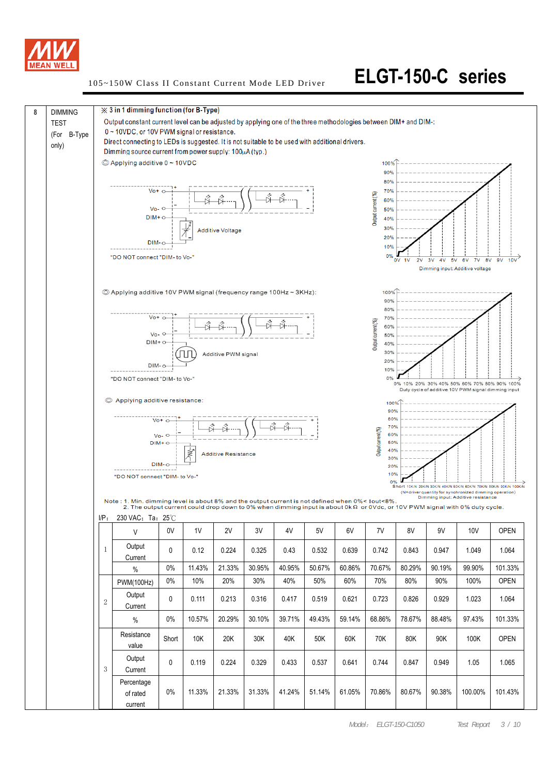

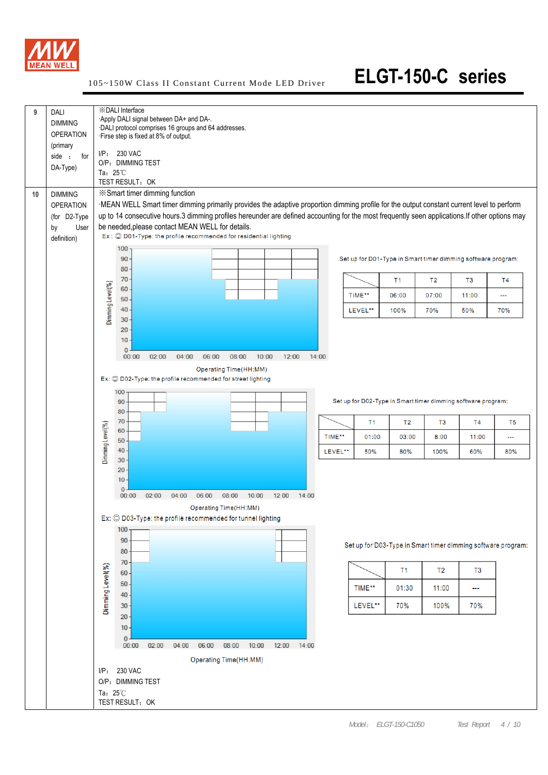

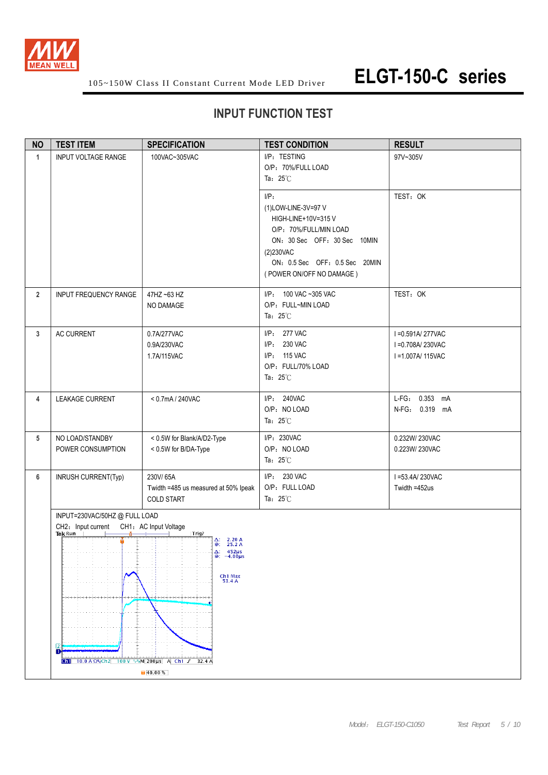

#### **INPUT FUNCTION TEST**

| <b>NO</b>      | <b>TEST ITEM</b>                                                                                                                                                                       | <b>SPECIFICATION</b>                                                                                                                                               | <b>TEST CONDITION</b>                                                                                                                                                                     | <b>RESULT</b>                                                |
|----------------|----------------------------------------------------------------------------------------------------------------------------------------------------------------------------------------|--------------------------------------------------------------------------------------------------------------------------------------------------------------------|-------------------------------------------------------------------------------------------------------------------------------------------------------------------------------------------|--------------------------------------------------------------|
| $\mathbf{1}$   | <b>INPUT VOLTAGE RANGE</b>                                                                                                                                                             | 100VAC~305VAC                                                                                                                                                      | I/P: TESTING<br>O/P: 70%/FULL LOAD<br>Ta: $25^{\circ}$ C                                                                                                                                  | 97V~305V                                                     |
|                |                                                                                                                                                                                        |                                                                                                                                                                    | $I/P$ :<br>(1)LOW-LINE-3V=97 V<br>HIGH-LINE+10V=315V<br>O/P: 70%/FULL/MIN LOAD<br>ON: 30 Sec OFF: 30 Sec 10MIN<br>(2)230VAC<br>ON: 0.5 Sec OFF: 0.5 Sec 20MIN<br>(POWER ON/OFF NO DAMAGE) | TEST: OK                                                     |
| $\overline{2}$ | INPUT FREQUENCY RANGE                                                                                                                                                                  | 47HZ~63 HZ<br>NO DAMAGE                                                                                                                                            | I/P: 100 VAC ~305 VAC<br>O/P: FULL~MIN LOAD<br>Ta: $25^{\circ}$ C                                                                                                                         | TEST: OK                                                     |
| 3              | AC CURRENT                                                                                                                                                                             | I/P: 277 VAC<br>0.7A/277VAC<br>I/P: 230 VAC<br>0.9A/230VAC<br>I/P: 115 VAC<br>1.7A/115VAC<br>O/P: FULL/70% LOAD<br>Ta: $25^{\circ}$ C                              |                                                                                                                                                                                           | I = 0.591A/277VAC<br>I = 0.708A/230VAC<br>I = 1.007A/ 115VAC |
| 4              | LEAKAGE CURRENT                                                                                                                                                                        | < 0.7mA / 240VAC                                                                                                                                                   | I/P: 240VAC<br>O/P: NO LOAD<br>Ta: $25^{\circ}$ C                                                                                                                                         | L-FG: 0.353 mA<br>N-FG: 0.319 mA                             |
| 5              | NO LOAD/STANDBY<br>POWER CONSUMPTION                                                                                                                                                   | < 0.5W for Blank/A/D2-Type<br>< 0.5W for B/DA-Type                                                                                                                 | I/P: 230VAC<br>O/P: NO LOAD<br>Ta: $25^{\circ}$ C                                                                                                                                         | 0.232W/ 230VAC<br>0.223W/230VAC                              |
| 6              | INRUSH CURRENT(Typ)                                                                                                                                                                    | 230V/65A<br>Twidth =485 us measured at 50% Ipeak<br><b>COLD START</b>                                                                                              | I/P: 230 VAC<br>O/P: FULL LOAD<br>Ta: $25^{\circ}$ C                                                                                                                                      | I =53.4A/230VAC<br>Twidth =452us                             |
|                | INPUT=230VAC/50HZ@FULLLOAD<br>CH2: Input current CH1: AC Input Voltage<br>Tek Run<br><b>Chi</b> 10.0 A $\Omega$ <sup>R</sup> /Ch <sub>2</sub> 100 V $\sqrt{R}$ M 200 Us A Ch1 J 32.4 A | Trig?<br>$\Delta$ : 2.20 A<br>@: 25.2 A<br>$\Delta$ : 452 µs<br>$@: -4.00 \mu s$<br>Ch1 Max<br>53.4 A<br>بمراجعات فمراجع أحبة تجارينه والمتأجب أمراضهما<br>140.00% |                                                                                                                                                                                           |                                                              |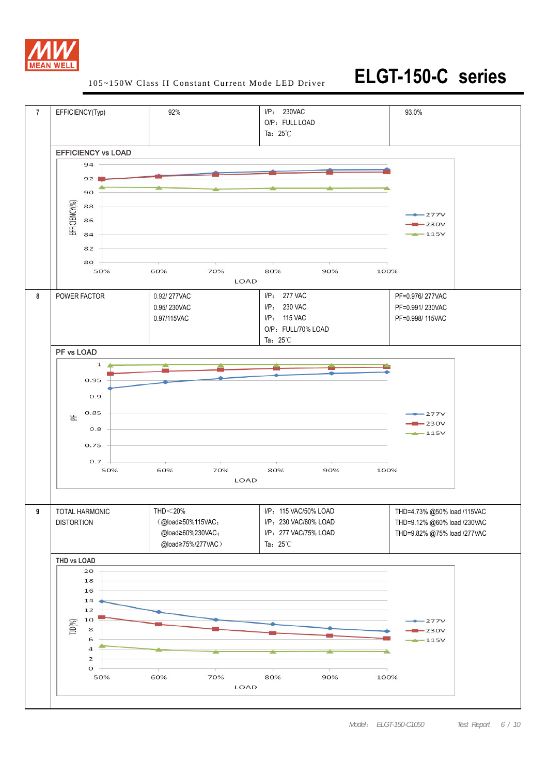

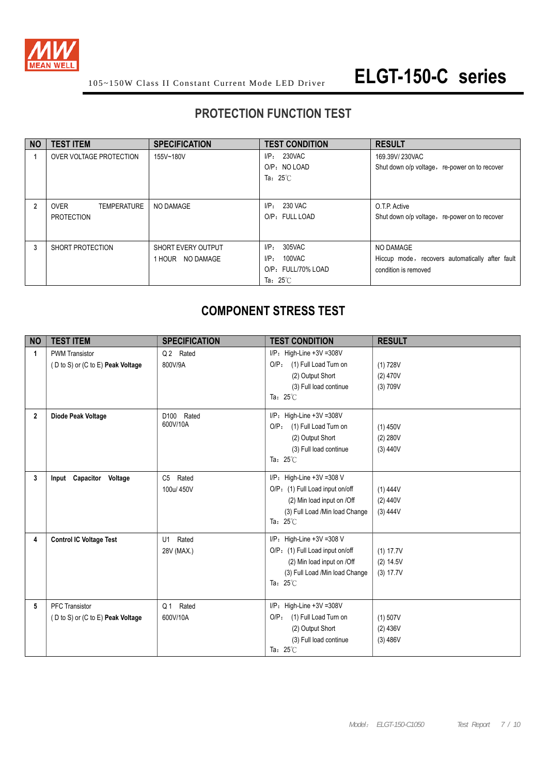

### **PROTECTION FUNCTION TEST**

| <b>NO</b> | <b>TEST ITEM</b>                                       | <b>SPECIFICATION</b>                   | <b>TEST CONDITION</b>                                                                  | <b>RESULT</b>                                                                        |
|-----------|--------------------------------------------------------|----------------------------------------|----------------------------------------------------------------------------------------|--------------------------------------------------------------------------------------|
|           | OVER VOLTAGE PROTECTION                                | 155V~180V                              | 230VAC<br>$I/P$ :<br>O/P: NO LOAD<br>Ta: $25^\circ\text{C}$                            | 169.39V/230VAC<br>Shut down o/p voltage, re-power on to recover                      |
|           | <b>OVER</b><br><b>TEMPERATURE</b><br><b>PROTECTION</b> | NO DAMAGE                              | 230 VAC<br>$I/P$ :<br>O/P: FULL LOAD                                                   | O.T.P. Active<br>Shut down o/p voltage, re-power on to recover                       |
| 3         | SHORT PROTECTION                                       | SHORT EVERY OUTPUT<br>1 HOUR NO DAMAGE | 305VAC<br>$I/P$ :<br>100VAC<br>$I/P$ :<br>O/P: FULL/70% LOAD<br>Ta: $25^\circ\text{C}$ | NO DAMAGE<br>Hiccup mode, recovers automatically after fault<br>condition is removed |

### **COMPONENT STRESS TEST**

| <b>NO</b>      | <b>TEST ITEM</b>                                           | <b>SPECIFICATION</b>                | <b>TEST CONDITION</b>                                                                                                                                 | <b>RESULT</b>                       |
|----------------|------------------------------------------------------------|-------------------------------------|-------------------------------------------------------------------------------------------------------------------------------------------------------|-------------------------------------|
| 1              | <b>PWM Transistor</b><br>(D to S) or (C to E) Peak Voltage | Q2 Rated<br>800V/9A                 | $I/P$ : High-Line +3V =308V<br>O/P: (1) Full Load Turn on<br>(2) Output Short<br>(3) Full load continue<br>Ta: $25^\circ$ C                           | (1) 728V<br>$(2)$ 470V<br>(3) 709V  |
| $\overline{2}$ | Diode Peak Voltage                                         | D <sub>100</sub> Rated<br>600V/10A  | $I/P$ : High-Line +3V =308V<br>(1) Full Load Turn on<br>$O/P$ :<br>(2) Output Short<br>(3) Full load continue<br>Ta: $25^{\circ}$ C                   | $(1)$ 450V<br>(2) 280V<br>(3) 440V  |
| 3              | Input Capacitor Voltage                                    | Rated<br>C5<br>100u/450V            | $I/P$ : High-Line +3V =308 V<br>O/P: (1) Full Load input on/off<br>(2) Min load input on /Off<br>(3) Full Load /Min load Change<br>Ta: $25^{\circ}$ C | (1) 444V<br>(2) 440V<br>(3) 444V    |
| 4              | <b>Control IC Voltage Test</b>                             | Rated<br>U1<br>28V (MAX.)           | $I/P$ : High-Line +3V =308 V<br>O/P: (1) Full Load input on/off<br>(2) Min load input on /Off<br>(3) Full Load /Min load Change<br>Ta: $25^\circ$ C   | (1) 17.7V<br>(2) 14.5V<br>(3) 17.7V |
| 5              | <b>PFC Transistor</b><br>(D to S) or (C to E) Peak Voltage | Q <sub>1</sub><br>Rated<br>600V/10A | I/P: High-Line +3V =308V<br>(1) Full Load Turn on<br>O/P <sub>1</sub><br>(2) Output Short<br>(3) Full load continue<br>Ta: $25^{\circ}$ C             | $(1)$ 507V<br>(2) 436V<br>(3) 486V  |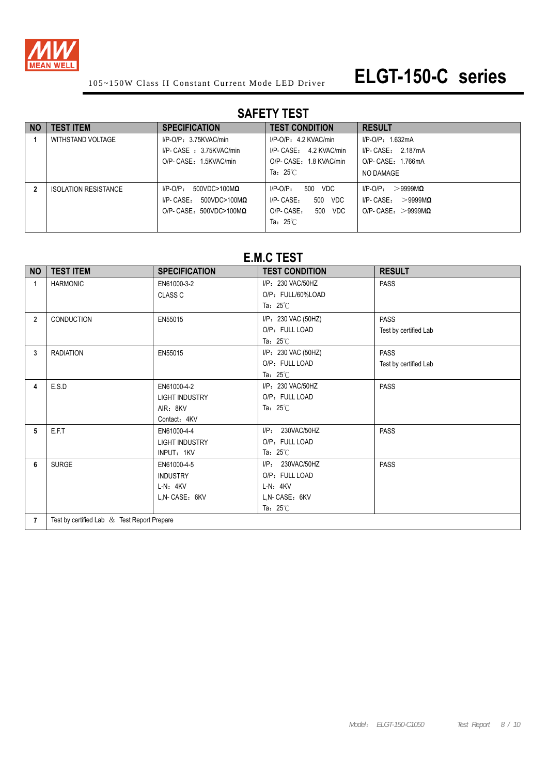

|           | SAFEII IESI                 |                                                                                                                      |                                                                                                                |                                                                                                |  |  |  |  |  |  |  |
|-----------|-----------------------------|----------------------------------------------------------------------------------------------------------------------|----------------------------------------------------------------------------------------------------------------|------------------------------------------------------------------------------------------------|--|--|--|--|--|--|--|
| <b>NO</b> | <b>TEST ITEM</b>            | <b>SPECIFICATION</b>                                                                                                 | <b>TEST CONDITION</b>                                                                                          | <b>RESULT</b>                                                                                  |  |  |  |  |  |  |  |
|           | WITHSTAND VOLTAGE           | I/P-O/P: 3.75KVAC/min<br>$I/P$ - CASE $: 3.75$ KVAC/min<br>O/P-CASE: 1.5KVAC/min                                     | I/P-O/P: 4.2 KVAC/min<br>$I/P$ - CASE: 4.2 KVAC/min<br>O/P- CASE: 1.8 KVAC/min<br>Ta: $25^\circ\text{C}$       | $I/P$ -O/P: 1.632mA<br>$I/P$ -CASE: 2.187mA<br>O/P- CASE: 1.766mA<br>NO DAMAGE                 |  |  |  |  |  |  |  |
|           | <b>ISOLATION RESISTANCE</b> | $I/P-O/P$ :<br>$500VDC > 100M\Omega$<br>$I/P$ - $CASE:$<br>500VDC>100M $\Omega$<br>$O/P$ -CASE: 500VDC>100M $\Omega$ | 500<br>VDC.<br>$I/P-O/P$ :<br>500 VDC<br>$I/P$ - CASE:<br>$O/P$ - $CASE:$<br>500 VDC<br>Ta: $25^\circ\text{C}$ | >99999M <sub>Q</sub><br>$I/P$ -O/P:<br>$I/P$ -CASE: $>9999M\Omega$<br>O/P-CASE: $>9999M\Omega$ |  |  |  |  |  |  |  |

### **SAFETY TEST**

#### **E.M.C TEST**

| <b>NO</b>      | <b>TEST ITEM</b>                            | <b>SPECIFICATION</b>  | <b>TEST CONDITION</b>  | <b>RESULT</b>         |  |  |  |  |  |
|----------------|---------------------------------------------|-----------------------|------------------------|-----------------------|--|--|--|--|--|
| 1              | <b>HARMONIC</b>                             | EN61000-3-2           | I/P: 230 VAC/50HZ      | <b>PASS</b>           |  |  |  |  |  |
|                |                                             | <b>CLASS C</b>        | O/P: FULL/60%LOAD      |                       |  |  |  |  |  |
|                |                                             |                       | Ta: $25^{\circ}$ C     |                       |  |  |  |  |  |
| $\overline{2}$ | CONDUCTION                                  | EN55015               | I/P: 230 VAC (50HZ)    | <b>PASS</b>           |  |  |  |  |  |
|                |                                             |                       | O/P: FULL LOAD         | Test by certified Lab |  |  |  |  |  |
|                |                                             |                       | Ta: $25^{\circ}$ C     |                       |  |  |  |  |  |
| 3              | <b>RADIATION</b>                            | EN55015               | I/P: 230 VAC (50HZ)    | <b>PASS</b>           |  |  |  |  |  |
|                |                                             |                       | O/P: FULL LOAD         | Test by certified Lab |  |  |  |  |  |
|                |                                             |                       | Ta: $25^{\circ}$ C     |                       |  |  |  |  |  |
| 4              | E.S.D                                       | EN61000-4-2           | I/P: 230 VAC/50HZ      | <b>PASS</b>           |  |  |  |  |  |
|                |                                             | <b>LIGHT INDUSTRY</b> | O/P: FULL LOAD         |                       |  |  |  |  |  |
|                |                                             | AIR: 8KV              | Ta: $25^\circ\text{C}$ |                       |  |  |  |  |  |
|                |                                             | Contact: 4KV          |                        |                       |  |  |  |  |  |
| 5              | E.F.T                                       | EN61000-4-4           | $I/P$ :<br>230VAC/50HZ | <b>PASS</b>           |  |  |  |  |  |
|                |                                             | <b>LIGHT INDUSTRY</b> | O/P: FULL LOAD         |                       |  |  |  |  |  |
|                |                                             | INPUT: 1KV            | Ta: $25^\circ\text{C}$ |                       |  |  |  |  |  |
| 6              | <b>SURGE</b>                                | EN61000-4-5           | 230VAC/50HZ<br>I/P:    | <b>PASS</b>           |  |  |  |  |  |
|                |                                             | <b>INDUSTRY</b>       | O/P: FULL LOAD         |                       |  |  |  |  |  |
|                |                                             | $L-N: 4KV$            | $L-N: 4KV$             |                       |  |  |  |  |  |
|                |                                             | L,N-CASE: 6KV         | L,N-CASE: 6KV          |                       |  |  |  |  |  |
|                |                                             |                       | Ta: $25^\circ\text{C}$ |                       |  |  |  |  |  |
| $\overline{7}$ | Test by certified Lab & Test Report Prepare |                       |                        |                       |  |  |  |  |  |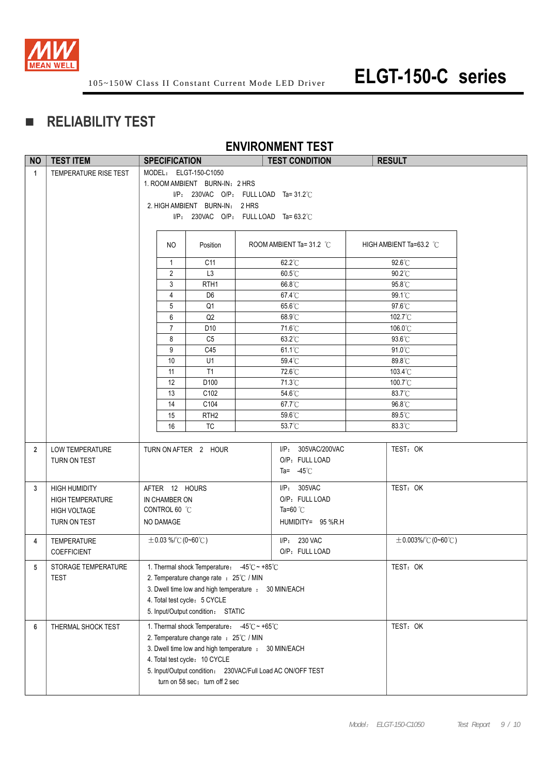

### **RELIABILITY TEST**

#### **ENVIRONMENT TEST**

| <b>NO</b>      | <b>TEST ITEM</b>        | <b>SPECIFICATION</b>                                    |                                                                                              | ---------- | <b>TEST CONDITION</b>              |          | <b>RESULT</b>            |  |  |
|----------------|-------------------------|---------------------------------------------------------|----------------------------------------------------------------------------------------------|------------|------------------------------------|----------|--------------------------|--|--|
|                |                         |                                                         |                                                                                              |            |                                    |          |                          |  |  |
| $\mathbf{1}$   | TEMPERATURE RISE TEST   | MODEL: ELGT-150-C1050<br>1. ROOM AMBIENT BURN-IN: 2 HRS |                                                                                              |            |                                    |          |                          |  |  |
|                |                         |                                                         |                                                                                              |            |                                    |          |                          |  |  |
|                |                         |                                                         | $I/P$ : 230VAC O/P: FULL LOAD Ta=31.2°C                                                      |            |                                    |          |                          |  |  |
|                |                         | 2. HIGH AMBIENT BURN-IN: 2 HRS                          |                                                                                              |            |                                    |          |                          |  |  |
|                |                         |                                                         | I/P: 230VAC O/P: FULL LOAD Ta= 63.2°C                                                        |            |                                    |          |                          |  |  |
|                |                         |                                                         |                                                                                              |            |                                    |          |                          |  |  |
|                |                         | NO.                                                     | Position                                                                                     |            | ROOM AMBIENT Ta= 31.2 $^{\circ}$ C |          | HIGH AMBIENT Ta=63.2 °C  |  |  |
|                |                         |                                                         |                                                                                              |            |                                    |          |                          |  |  |
|                |                         | 1                                                       | C11                                                                                          |            | 62.2°C                             |          | 92.6°C                   |  |  |
|                |                         | 2                                                       | L <sub>3</sub>                                                                               |            | 60.5°C                             |          | 90.2°C                   |  |  |
|                |                         | 3                                                       | RTH <sub>1</sub>                                                                             |            | 66.8°C                             |          | 95.8°C                   |  |  |
|                |                         | 4                                                       | D <sub>6</sub>                                                                               |            | 67.4°C                             |          | 99.1°C                   |  |  |
|                |                         | 5<br>6                                                  | Q1<br>Q2                                                                                     |            | $65.6^{\circ}$ C                   |          | $97.6^{\circ}$ C         |  |  |
|                |                         | $\overline{7}$                                          | D <sub>10</sub>                                                                              |            | 68.9°C<br>71.6°C                   |          | 102.7°C<br>106.0°C       |  |  |
|                |                         | 8                                                       | C <sub>5</sub>                                                                               |            | 63.2°C                             |          | 93.6°C                   |  |  |
|                |                         | 9                                                       | C45                                                                                          |            | 61.1°C                             |          | 91.0°C                   |  |  |
|                |                         | 10                                                      | U1                                                                                           |            | 59.4°C                             |          | 89.8°C                   |  |  |
|                |                         | 11                                                      | T <sub>1</sub>                                                                               |            | 72.6°C                             |          | 103.4°C                  |  |  |
|                |                         | 12                                                      | D100                                                                                         |            | 71.3°C                             |          | 100.7°C                  |  |  |
|                |                         | 13                                                      | C102                                                                                         |            | 54.6°C                             |          | 83.7°C                   |  |  |
|                |                         | 14                                                      | C104                                                                                         |            | 67.7°C                             |          | 96.8°C                   |  |  |
|                |                         | 15                                                      | RTH <sub>2</sub>                                                                             |            | 59.6°C                             |          | 89.5°C                   |  |  |
|                |                         | 16                                                      | <b>TC</b>                                                                                    |            | 53.7°C                             |          | 83.3°C                   |  |  |
|                |                         |                                                         |                                                                                              |            |                                    |          |                          |  |  |
| $\overline{2}$ | LOW TEMPERATURE         |                                                         | TURN ON AFTER 2 HOUR                                                                         |            | I/P: 305VAC/200VAC                 |          | TEST: OK                 |  |  |
|                | TURN ON TEST            |                                                         |                                                                                              |            | O/P: FULL LOAD                     |          |                          |  |  |
|                |                         |                                                         |                                                                                              |            | Ta= $-45^{\circ}$ C                |          |                          |  |  |
|                |                         |                                                         |                                                                                              |            |                                    |          |                          |  |  |
| 3              | <b>HIGH HUMIDITY</b>    | AFTER 12 HOURS                                          |                                                                                              |            | I/P: 305VAC<br>O/P: FULL LOAD      |          | TEST: OK                 |  |  |
|                | <b>HIGH TEMPERATURE</b> | IN CHAMBER ON<br>CONTROL 60 °C                          |                                                                                              |            | Ta=60 $°C$                         |          |                          |  |  |
|                | <b>HIGH VOLTAGE</b>     |                                                         |                                                                                              |            |                                    |          |                          |  |  |
|                | TURN ON TEST            | NO DAMAGE                                               |                                                                                              |            | HUMIDITY= 95 %R.H                  |          |                          |  |  |
| 4              | TEMPERATURE             | $\pm$ 0.03 %/°C (0~60°C)                                |                                                                                              |            | I/P: 230 VAC                       |          | $\pm$ 0.003%/°C (0~60°C) |  |  |
|                | <b>COEFFICIENT</b>      |                                                         |                                                                                              |            | O/P: FULL LOAD                     |          |                          |  |  |
| 5              | STORAGE TEMPERATURE     |                                                         | 1. Thermal shock Temperature: $-45^{\circ}\text{C} \sim +85^{\circ}\text{C}$                 |            |                                    | TEST: OK |                          |  |  |
|                | TEST                    |                                                         | 2. Temperature change rate : 25°C / MIN                                                      |            |                                    |          |                          |  |  |
|                |                         |                                                         | 3. Dwell time low and high temperature : 30 MIN/EACH                                         |            |                                    |          |                          |  |  |
|                |                         |                                                         | 4. Total test cycle: 5 CYCLE                                                                 |            |                                    |          |                          |  |  |
|                |                         |                                                         | 5. Input/Output condition: STATIC                                                            |            |                                    |          |                          |  |  |
|                |                         |                                                         |                                                                                              |            |                                    |          |                          |  |  |
| 6              | THERMAL SHOCK TEST      |                                                         | 1. Thermal shock Temperature: $-45^{\circ}$ C ~ +65 $^{\circ}$ C                             |            |                                    |          | TEST: OK                 |  |  |
|                |                         |                                                         | 2. Temperature change rate : 25°C / MIN                                                      |            |                                    |          |                          |  |  |
|                |                         |                                                         | 3. Dwell time low and high temperature : 30 MIN/EACH                                         |            |                                    |          |                          |  |  |
|                |                         |                                                         | 4. Total test cycle: 10 CYCLE                                                                |            |                                    |          |                          |  |  |
|                |                         |                                                         | 5. Input/Output condition: 230VAC/Full Load AC ON/OFF TEST<br>turn on 58 sec; turn off 2 sec |            |                                    |          |                          |  |  |
|                |                         |                                                         |                                                                                              |            |                                    |          |                          |  |  |